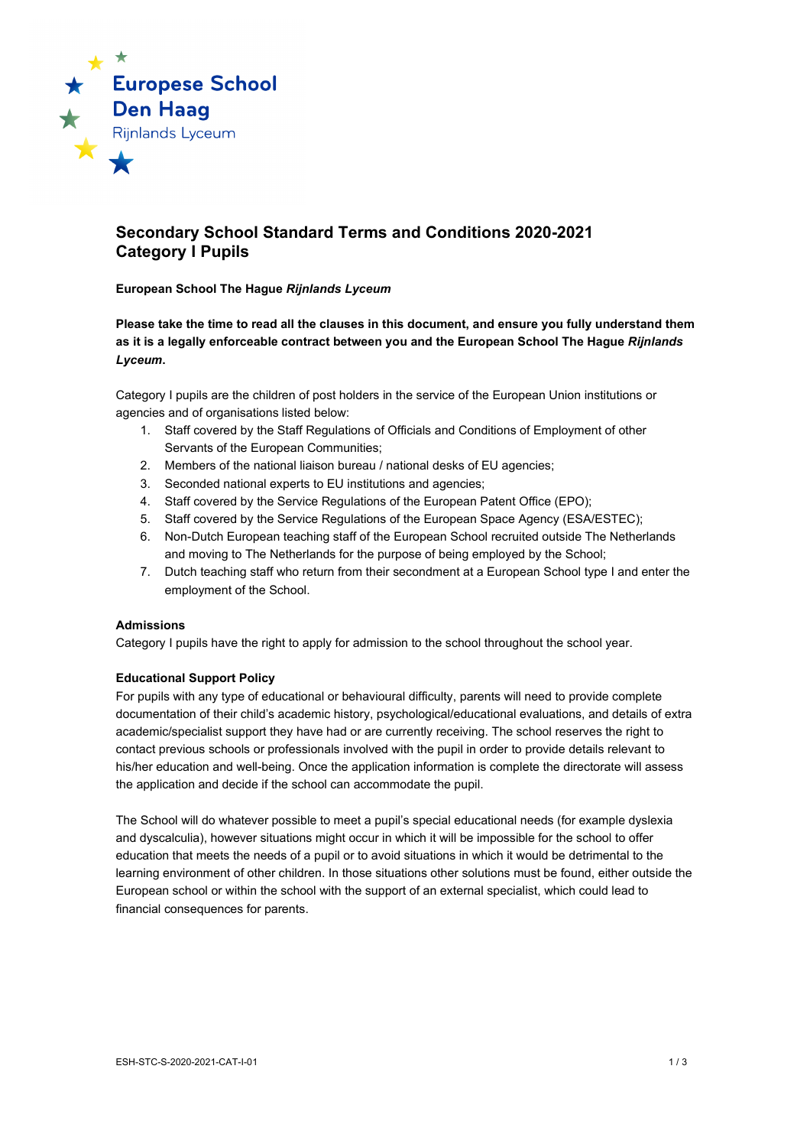

# **Secondary School Standard Terms and Conditions 2020-2021 Category I Pupils**

### **European School The Hague** *Rijnlands Lyceum*

**Please take the time to read all the clauses in this document, and ensure you fully understand them as it is a legally enforceable contract between you and the European School The Hague** *Rijnlands Lyceum***.**

Category I pupils are the children of post holders in the service of the European Union institutions or agencies and of organisations listed below:

- 1. Staff covered by the Staff Regulations of Officials and Conditions of Employment of other Servants of the European Communities;
- 2. Members of the national liaison bureau / national desks of EU agencies;
- 3. Seconded national experts to EU institutions and agencies;
- 4. Staff covered by the Service Regulations of the European Patent Office (EPO);
- 5. Staff covered by the Service Regulations of the European Space Agency (ESA/ESTEC);
- 6. Non-Dutch European teaching staff of the European School recruited outside The Netherlands and moving to The Netherlands for the purpose of being employed by the School;
- 7. Dutch teaching staff who return from their secondment at a European School type I and enter the employment of the School.

#### **Admissions**

Category I pupils have the right to apply for admission to the school throughout the school year.

# **Educational Support Policy**

For pupils with any type of educational or behavioural difficulty, parents will need to provide complete documentation of their child's academic history, psychological/educational evaluations, and details of extra academic/specialist support they have had or are currently receiving. The school reserves the right to contact previous schools or professionals involved with the pupil in order to provide details relevant to his/her education and well-being. Once the application information is complete the directorate will assess the application and decide if the school can accommodate the pupil.

The School will do whatever possible to meet a pupil's special educational needs (for example dyslexia and dyscalculia), however situations might occur in which it will be impossible for the school to offer education that meets the needs of a pupil or to avoid situations in which it would be detrimental to the learning environment of other children. In those situations other solutions must be found, either outside the European school or within the school with the support of an external specialist, which could lead to financial consequences for parents.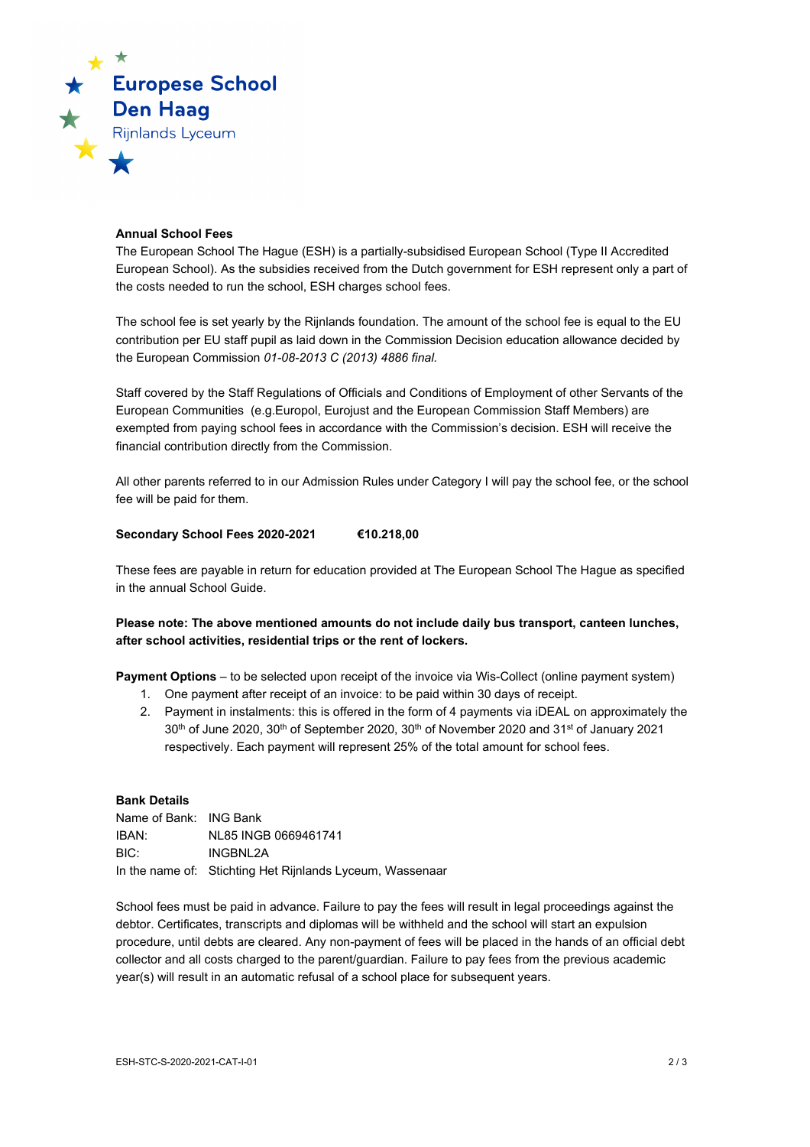

### **Annual School Fees**

The European School The Hague (ESH) is a partially-subsidised European School (Type II Accredited European School). As the subsidies received from the Dutch government for ESH represent only a part of the costs needed to run the school, ESH charges school fees.

The school fee is set yearly by the Rijnlands foundation. The amount of the school fee is equal to the EU contribution per EU staff pupil as laid down in the Commission Decision education allowance decided by the European Commission *01-08-2013 C (2013) 4886 final.*

Staff covered by the Staff Regulations of Officials and Conditions of Employment of other Servants of the European Communities (e.g.Europol, Eurojust and the European Commission Staff Members) are exempted from paying school fees in accordance with the Commission's decision. ESH will receive the financial contribution directly from the Commission.

All other parents referred to in our Admission Rules under Category I will pay the school fee, or the school fee will be paid for them.

### **Secondary School Fees 2020-2021 €10.218,00**

These fees are payable in return for education provided at The European School The Hague as specified in the annual School Guide.

# **Please note: The above mentioned amounts do not include daily bus transport, canteen lunches, after school activities, residential trips or the rent of lockers.**

**Payment Options** – to be selected upon receipt of the invoice via Wis-Collect (online payment system)

- 1. One payment after receipt of an invoice: to be paid within 30 days of receipt.
- 2. Payment in instalments: this is offered in the form of 4 payments via iDEAL on approximately the  $30<sup>th</sup>$  of June 2020,  $30<sup>th</sup>$  of September 2020,  $30<sup>th</sup>$  of November 2020 and  $31<sup>st</sup>$  of January 2021 respectively. Each payment will represent 25% of the total amount for school fees.

#### **Bank Details**

| Name of Bank: ING Bank |                                                           |
|------------------------|-----------------------------------------------------------|
| IBAN:                  | NL85 INGB 0669461741                                      |
| BIC:                   | INGBNL2A                                                  |
|                        | In the name of: Stichting Het Rijnlands Lyceum, Wassenaar |

School fees must be paid in advance. Failure to pay the fees will result in legal proceedings against the debtor. Certificates, transcripts and diplomas will be withheld and the school will start an expulsion procedure, until debts are cleared. Any non-payment of fees will be placed in the hands of an official debt collector and all costs charged to the parent/guardian. Failure to pay fees from the previous academic year(s) will result in an automatic refusal of a school place for subsequent years.